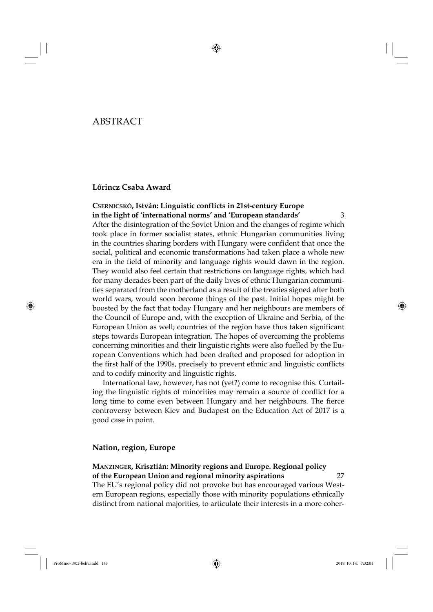## ABSTRACT

### **Lőrincz Csaba Award**

**CSERNICSKÓ, István: Linguistic conflicts in 21st-century Europe in the light of 'international norms' and 'European standards'** 3 After the disintegration of the Soviet Union and the changes of regime which took place in former socialist states, ethnic Hungarian communities living in the countries sharing borders with Hungary were confident that once the social, political and economic transformations had taken place a whole new era in the field of minority and language rights would dawn in the region. They would also feel certain that restrictions on language rights, which had for many decades been part of the daily lives of ethnic Hungarian communities separated from the motherland as a result of the treaties signed after both world wars, would soon become things of the past. Initial hopes might be boosted by the fact that today Hungary and her neighbours are members of the Council of Europe and, with the exception of Ukraine and Serbia, of the European Union as well; countries of the region have thus taken significant steps towards European integration. The hopes of overcoming the problems concerning minorities and their linguistic rights were also fuelled by the European Conventions which had been drafted and proposed for adoption in the first half of the 1990s, precisely to prevent ethnic and linguistic conflicts and to codify minority and linguistic rights.

International law, however, has not (yet?) come to recognise this. Curtailing the linguistic rights of minorities may remain a source of conflict for a long time to come even between Hungary and her neighbours. The fierce controversy between Kiev and Budapest on the Education Act of 2017 is a good case in point.

### **Nation, region, Europe**

### **MANZINGER, Krisztián: Minority regions and Europe. Regional policy of the European Union and regional minority aspirations** 27

The EU's regional policy did not provoke but has encouraged various Western European regions, especially those with minority populations ethnically distinct from national majorities, to articulate their interests in a more coher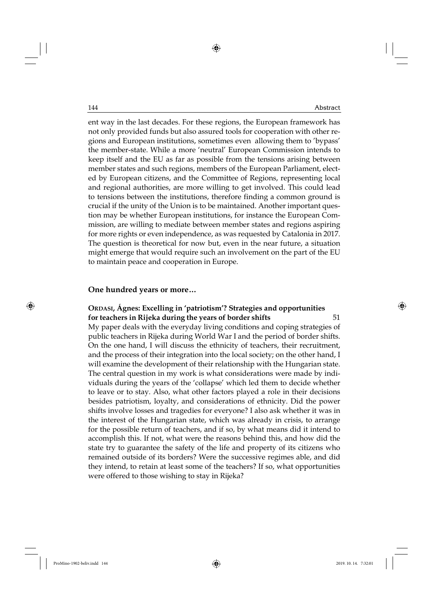ent way in the last decades. For these regions, the European framework has not only provided funds but also assured tools for cooperation with other regions and European institutions, sometimes even allowing them to 'bypass' the member-state. While a more 'neutral' European Commission intends to keep itself and the EU as far as possible from the tensions arising between member states and such regions, members of the European Parliament, elected by European citizens, and the Committee of Regions, representing local and regional authorities, are more willing to get involved. This could lead to tensions between the institutions, therefore finding a common ground is crucial if the unity of the Union is to be maintained. Another important question may be whether European institutions, for instance the European Commission, are willing to mediate between member states and regions aspiring for more rights or even independence, as was requested by Catalonia in 2017. The question is theoretical for now but, even in the near future, a situation might emerge that would require such an involvement on the part of the EU to maintain peace and cooperation in Europe.

#### **One hundred years or more…**

### **ORDASI, Ágnes: Excelling in 'patriotism'? Strategies and opportunities for teachers in Rijeka during the years of border shifts** 51

My paper deals with the everyday living conditions and coping strategies of public teachers in Rijeka during World War I and the period of border shifts. On the one hand, I will discuss the ethnicity of teachers, their recruitment, and the process of their integration into the local society; on the other hand, I will examine the development of their relationship with the Hungarian state. The central question in my work is what considerations were made by individuals during the years of the 'collapse' which led them to decide whether to leave or to stay. Also, what other factors played a role in their decisions besides patriotism, loyalty, and considerations of ethnicity. Did the power shifts involve losses and tragedies for everyone? I also ask whether it was in the interest of the Hungarian state, which was already in crisis, to arrange for the possible return of teachers, and if so, by what means did it intend to accomplish this. If not, what were the reasons behind this, and how did the state try to guarantee the safety of the life and property of its citizens who remained outside of its borders? Were the successive regimes able, and did they intend, to retain at least some of the teachers? If so, what opportunities were offered to those wishing to stay in Rijeka?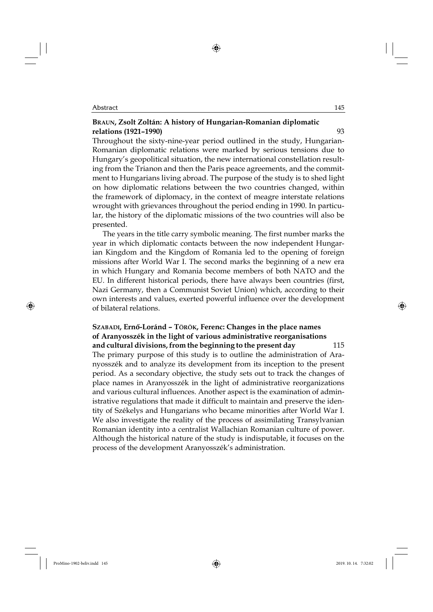### **BRAUN, Zsolt Zoltán: A history of Hungarian-Romanian diplomatic relations (1921–1990)** 93

Throughout the sixty-nine-year period outlined in the study, Hungarian-Romanian diplomatic relations were marked by serious tensions due to Hungary's geopolitical situation, the new international constellation resulting from the Trianon and then the Paris peace agreements, and the commitment to Hungarians living abroad. The purpose of the study is to shed light on how diplomatic relations between the two countries changed, within the framework of diplomacy, in the context of meagre interstate relations wrought with grievances throughout the period ending in 1990. In particular, the history of the diplomatic missions of the two countries will also be presented.

The years in the title carry symbolic meaning. The first number marks the year in which diplomatic contacts between the now independent Hungarian Kingdom and the Kingdom of Romania led to the opening of foreign missions after World War I. The second marks the beginning of a new era in which Hungary and Romania become members of both NATO and the EU. In different historical periods, there have always been countries (first, Nazi Germany, then a Communist Soviet Union) which, according to their own interests and values, exerted powerful influence over the development of bilateral relations.

### **SZABADI, Ernő-Loránd – TÖRÖK, Ferenc: Changes in the place names of Aranyosszék in the light of various administrative reorganisations and cultural divisions, from the beginning to the present day** 115

The primary purpose of this study is to outline the administration of Aranyosszék and to analyze its development from its inception to the present period. As a secondary objective, the study sets out to track the changes of place names in Aranyosszék in the light of administrative reorganizations and various cultural influences. Another aspect is the examination of administrative regulations that made it difficult to maintain and preserve the identity of Székelys and Hungarians who became minorities after World War I. We also investigate the reality of the process of assimilating Transylvanian Romanian identity into a centralist Wallachian Romanian culture of power. Although the historical nature of the study is indisputable, it focuses on the process of the development Aranyosszék's administration.